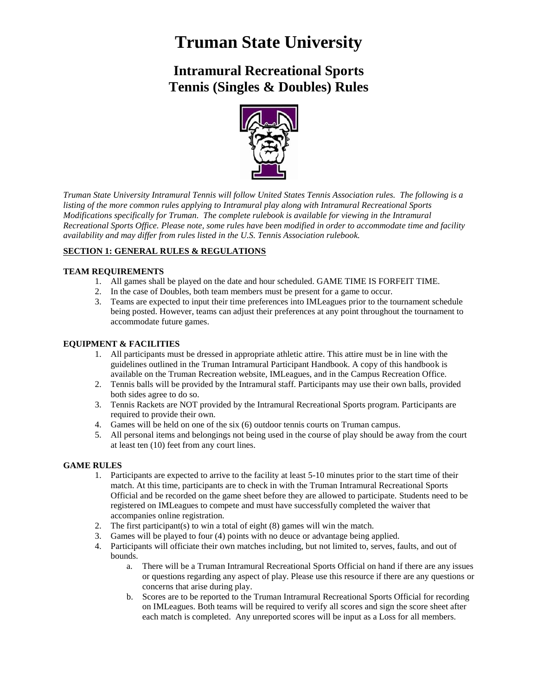# **Truman State University**

## **Intramural Recreational Sports Tennis (Singles & Doubles) Rules**



*Truman State University Intramural Tennis will follow United States Tennis Association rules. The following is a listing of the more common rules applying to Intramural play along with Intramural Recreational Sports Modifications specifically for Truman. The complete rulebook is available for viewing in the Intramural Recreational Sports Office. Please note, some rules have been modified in order to accommodate time and facility availability and may differ from rules listed in the U.S. Tennis Association rulebook.*

### **SECTION 1: GENERAL RULES & REGULATIONS**

#### **TEAM REQUIREMENTS**

- 1. All games shall be played on the date and hour scheduled. GAME TIME IS FORFEIT TIME.
- 2. In the case of Doubles, both team members must be present for a game to occur.
- 3. Teams are expected to input their time preferences into IMLeagues prior to the tournament schedule being posted. However, teams can adjust their preferences at any point throughout the tournament to accommodate future games.

#### **EQUIPMENT & FACILITIES**

- 1. All participants must be dressed in appropriate athletic attire. This attire must be in line with the guidelines outlined in the Truman Intramural Participant Handbook. A copy of this handbook is available on the Truman Recreation website, IMLeagues, and in the Campus Recreation Office.
- 2. Tennis balls will be provided by the Intramural staff. Participants may use their own balls, provided both sides agree to do so.
- 3. Tennis Rackets are NOT provided by the Intramural Recreational Sports program. Participants are required to provide their own.
- 4. Games will be held on one of the six (6) outdoor tennis courts on Truman campus.
- 5. All personal items and belongings not being used in the course of play should be away from the court at least ten (10) feet from any court lines.

### **GAME RULES**

- 1. Participants are expected to arrive to the facility at least 5-10 minutes prior to the start time of their match. At this time, participants are to check in with the Truman Intramural Recreational Sports Official and be recorded on the game sheet before they are allowed to participate. Students need to be registered on IMLeagues to compete and must have successfully completed the waiver that accompanies online registration.
- 2. The first participant(s) to win a total of eight (8) games will win the match.
- 3. Games will be played to four (4) points with no deuce or advantage being applied.
- 4. Participants will officiate their own matches including, but not limited to, serves, faults, and out of bounds.
	- a. There will be a Truman Intramural Recreational Sports Official on hand if there are any issues or questions regarding any aspect of play. Please use this resource if there are any questions or concerns that arise during play.
	- b. Scores are to be reported to the Truman Intramural Recreational Sports Official for recording on IMLeagues. Both teams will be required to verify all scores and sign the score sheet after each match is completed. Any unreported scores will be input as a Loss for all members.